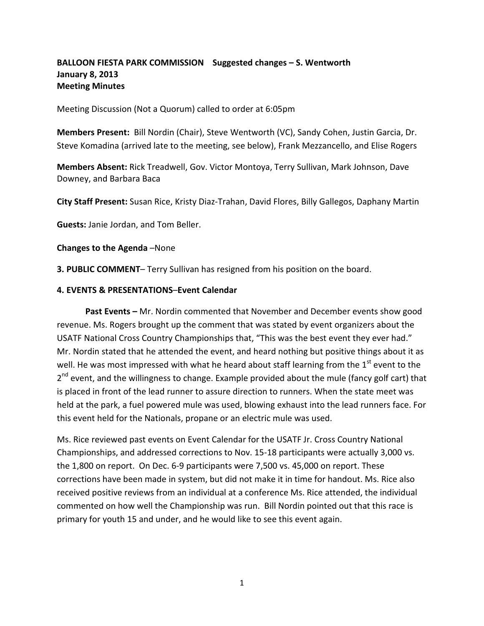### **BALLOON FIESTA PARK COMMISSION Suggested changes – S. Wentworth January 8, 2013 Meeting Minutes**

Meeting Discussion (Not a Quorum) called to order at 6:05pm

**Members Present:** Bill Nordin (Chair), Steve Wentworth (VC), Sandy Cohen, Justin Garcia, Dr. Steve Komadina (arrived late to the meeting, see below), Frank Mezzancello, and Elise Rogers

**Members Absent:** Rick Treadwell, Gov. Victor Montoya, Terry Sullivan, Mark Johnson, Dave Downey, and Barbara Baca

**City Staff Present:** Susan Rice, Kristy Diaz-Trahan, David Flores, Billy Gallegos, Daphany Martin

**Guests:** Janie Jordan, and Tom Beller.

**Changes to the Agenda** –None

**3. PUBLIC COMMENT**– Terry Sullivan has resigned from his position on the board.

#### **4. EVENTS & PRESENTATIONS**–**Event Calendar**

 **Past Events –** Mr. Nordin commented that November and December events show good revenue. Ms. Rogers brought up the comment that was stated by event organizers about the USATF National Cross Country Championships that, "This was the best event they ever had." Mr. Nordin stated that he attended the event, and heard nothing but positive things about it as well. He was most impressed with what he heard about staff learning from the  $1<sup>st</sup>$  event to the 2<sup>nd</sup> event, and the willingness to change. Example provided about the mule (fancy golf cart) that is placed in front of the lead runner to assure direction to runners. When the state meet was held at the park, a fuel powered mule was used, blowing exhaust into the lead runners face. For this event held for the Nationals, propane or an electric mule was used.

Ms. Rice reviewed past events on Event Calendar for the USATF Jr. Cross Country National Championships, and addressed corrections to Nov. 15-18 participants were actually 3,000 vs. the 1,800 on report. On Dec. 6-9 participants were 7,500 vs. 45,000 on report. These corrections have been made in system, but did not make it in time for handout. Ms. Rice also received positive reviews from an individual at a conference Ms. Rice attended, the individual commented on how well the Championship was run. Bill Nordin pointed out that this race is primary for youth 15 and under, and he would like to see this event again.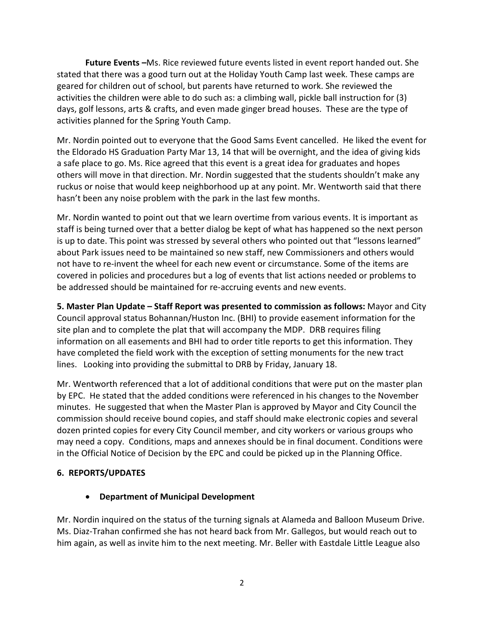**Future Events –**Ms. Rice reviewed future events listed in event report handed out. She stated that there was a good turn out at the Holiday Youth Camp last week. These camps are geared for children out of school, but parents have returned to work. She reviewed the activities the children were able to do such as: a climbing wall, pickle ball instruction for (3) days, golf lessons, arts & crafts, and even made ginger bread houses. These are the type of activities planned for the Spring Youth Camp.

Mr. Nordin pointed out to everyone that the Good Sams Event cancelled. He liked the event for the Eldorado HS Graduation Party Mar 13, 14 that will be overnight, and the idea of giving kids a safe place to go. Ms. Rice agreed that this event is a great idea for graduates and hopes others will move in that direction. Mr. Nordin suggested that the students shouldn't make any ruckus or noise that would keep neighborhood up at any point. Mr. Wentworth said that there hasn't been any noise problem with the park in the last few months.

Mr. Nordin wanted to point out that we learn overtime from various events. It is important as staff is being turned over that a better dialog be kept of what has happened so the next person is up to date. This point was stressed by several others who pointed out that "lessons learned" about Park issues need to be maintained so new staff, new Commissioners and others would not have to re-invent the wheel for each new event or circumstance. Some of the items are covered in policies and procedures but a log of events that list actions needed or problems to be addressed should be maintained for re-accruing events and new events.

**5. Master Plan Update – Staff Report was presented to commission as follows:** Mayor and City Council approval status Bohannan/Huston Inc. (BHI) to provide easement information for the site plan and to complete the plat that will accompany the MDP. DRB requires filing information on all easements and BHI had to order title reports to get this information. They have completed the field work with the exception of setting monuments for the new tract lines. Looking into providing the submittal to DRB by Friday, January 18.

Mr. Wentworth referenced that a lot of additional conditions that were put on the master plan by EPC. He stated that the added conditions were referenced in his changes to the November minutes. He suggested that when the Master Plan is approved by Mayor and City Council the commission should receive bound copies, and staff should make electronic copies and several dozen printed copies for every City Council member, and city workers or various groups who may need a copy. Conditions, maps and annexes should be in final document. Conditions were in the Official Notice of Decision by the EPC and could be picked up in the Planning Office.

### **6. REPORTS/UPDATES**

### • **Department of Municipal Development**

Mr. Nordin inquired on the status of the turning signals at Alameda and Balloon Museum Drive. Ms. Diaz-Trahan confirmed she has not heard back from Mr. Gallegos, but would reach out to him again, as well as invite him to the next meeting. Mr. Beller with Eastdale Little League also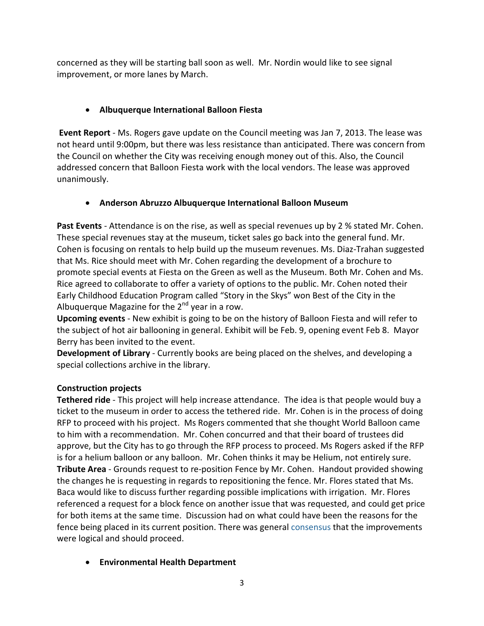concerned as they will be starting ball soon as well. Mr. Nordin would like to see signal improvement, or more lanes by March.

# • **Albuquerque International Balloon Fiesta**

**Event Report** - Ms. Rogers gave update on the Council meeting was Jan 7, 2013. The lease was not heard until 9:00pm, but there was less resistance than anticipated. There was concern from the Council on whether the City was receiving enough money out of this. Also, the Council addressed concern that Balloon Fiesta work with the local vendors. The lease was approved unanimously.

## • **Anderson Abruzzo Albuquerque International Balloon Museum**

Past Events - Attendance is on the rise, as well as special revenues up by 2 % stated Mr. Cohen. These special revenues stay at the museum, ticket sales go back into the general fund. Mr. Cohen is focusing on rentals to help build up the museum revenues. Ms. Diaz-Trahan suggested that Ms. Rice should meet with Mr. Cohen regarding the development of a brochure to promote special events at Fiesta on the Green as well as the Museum. Both Mr. Cohen and Ms. Rice agreed to collaborate to offer a variety of options to the public. Mr. Cohen noted their Early Childhood Education Program called "Story in the Skys" won Best of the City in the Albuquerque Magazine for the  $2^{nd}$  year in a row.

**Upcoming events** - New exhibit is going to be on the history of Balloon Fiesta and will refer to the subject of hot air ballooning in general. Exhibit will be Feb. 9, opening event Feb 8. Mayor Berry has been invited to the event.

**Development of Library** - Currently books are being placed on the shelves, and developing a special collections archive in the library.

### **Construction projects**

**Tethered ride** - This project will help increase attendance. The idea is that people would buy a ticket to the museum in order to access the tethered ride. Mr. Cohen is in the process of doing RFP to proceed with his project. Ms Rogers commented that she thought World Balloon came to him with a recommendation. Mr. Cohen concurred and that their board of trustees did approve, but the City has to go through the RFP process to proceed. Ms Rogers asked if the RFP is for a helium balloon or any balloon. Mr. Cohen thinks it may be Helium, not entirely sure. **Tribute Area** - Grounds request to re-position Fence by Mr. Cohen. Handout provided showing the changes he is requesting in regards to repositioning the fence. Mr. Flores stated that Ms. Baca would like to discuss further regarding possible implications with irrigation. Mr. Flores referenced a request for a block fence on another issue that was requested, and could get price for both items at the same time. Discussion had on what could have been the reasons for the fence being placed in its current position. There was general consensus that the improvements were logical and should proceed.

### • **Environmental Health Department**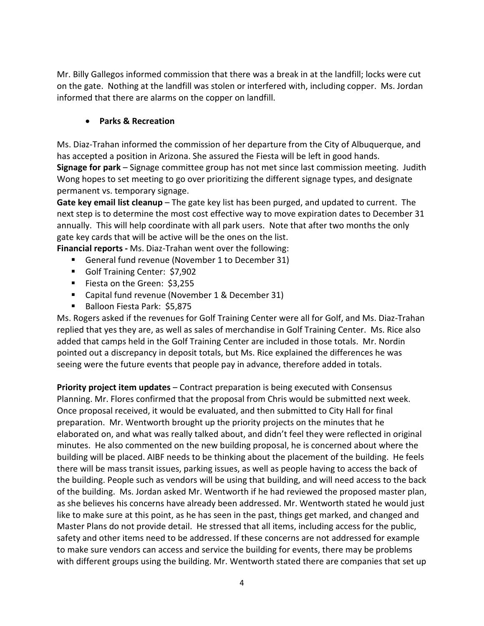Mr. Billy Gallegos informed commission that there was a break in at the landfill; locks were cut on the gate. Nothing at the landfill was stolen or interfered with, including copper. Ms. Jordan informed that there are alarms on the copper on landfill.

### • **Parks & Recreation**

Ms. Diaz-Trahan informed the commission of her departure from the City of Albuquerque, and has accepted a position in Arizona. She assured the Fiesta will be left in good hands. **Signage for park** – Signage committee group has not met since last commission meeting. Judith Wong hopes to set meeting to go over prioritizing the different signage types, and designate permanent vs. temporary signage.

**Gate key email list cleanup** – The gate key list has been purged, and updated to current. The next step is to determine the most cost effective way to move expiration dates to December 31 annually. This will help coordinate with all park users. Note that after two months the only gate key cards that will be active will be the ones on the list.

**Financial reports -** Ms. Diaz-Trahan went over the following:

- General fund revenue (November 1 to December 31)
- Golf Training Center: \$7,902
- Fiesta on the Green: \$3,255
- Capital fund revenue (November 1 & December 31)
- Balloon Fiesta Park: \$5,875

Ms. Rogers asked if the revenues for Golf Training Center were all for Golf, and Ms. Diaz-Trahan replied that yes they are, as well as sales of merchandise in Golf Training Center. Ms. Rice also added that camps held in the Golf Training Center are included in those totals. Mr. Nordin pointed out a discrepancy in deposit totals, but Ms. Rice explained the differences he was seeing were the future events that people pay in advance, therefore added in totals.

**Priority project item updates** – Contract preparation is being executed with Consensus Planning. Mr. Flores confirmed that the proposal from Chris would be submitted next week. Once proposal received, it would be evaluated, and then submitted to City Hall for final preparation. Mr. Wentworth brought up the priority projects on the minutes that he elaborated on, and what was really talked about, and didn't feel they were reflected in original minutes. He also commented on the new building proposal, he is concerned about where the building will be placed. AIBF needs to be thinking about the placement of the building. He feels there will be mass transit issues, parking issues, as well as people having to access the back of the building. People such as vendors will be using that building, and will need access to the back of the building. Ms. Jordan asked Mr. Wentworth if he had reviewed the proposed master plan, as she believes his concerns have already been addressed. Mr. Wentworth stated he would just like to make sure at this point, as he has seen in the past, things get marked, and changed and Master Plans do not provide detail. He stressed that all items, including access for the public, safety and other items need to be addressed. If these concerns are not addressed for example to make sure vendors can access and service the building for events, there may be problems with different groups using the building. Mr. Wentworth stated there are companies that set up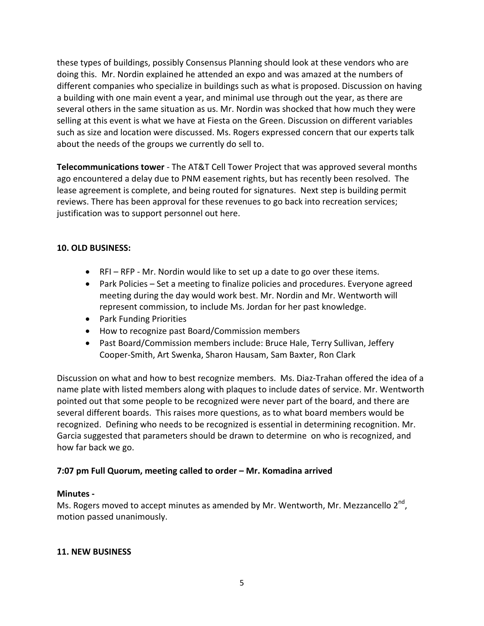these types of buildings, possibly Consensus Planning should look at these vendors who are doing this. Mr. Nordin explained he attended an expo and was amazed at the numbers of different companies who specialize in buildings such as what is proposed. Discussion on having a building with one main event a year, and minimal use through out the year, as there are several others in the same situation as us. Mr. Nordin was shocked that how much they were selling at this event is what we have at Fiesta on the Green. Discussion on different variables such as size and location were discussed. Ms. Rogers expressed concern that our experts talk about the needs of the groups we currently do sell to.

**Telecommunications tower** - The AT&T Cell Tower Project that was approved several months ago encountered a delay due to PNM easement rights, but has recently been resolved. The lease agreement is complete, and being routed for signatures. Next step is building permit reviews. There has been approval for these revenues to go back into recreation services; justification was to support personnel out here.

### **10. OLD BUSINESS:**

- RFI RFP Mr. Nordin would like to set up a date to go over these items.
- Park Policies Set a meeting to finalize policies and procedures. Everyone agreed meeting during the day would work best. Mr. Nordin and Mr. Wentworth will represent commission, to include Ms. Jordan for her past knowledge.
- Park Funding Priorities
- How to recognize past Board/Commission members
- Past Board/Commission members include: Bruce Hale, Terry Sullivan, Jeffery Cooper-Smith, Art Swenka, Sharon Hausam, Sam Baxter, Ron Clark

Discussion on what and how to best recognize members. Ms. Diaz-Trahan offered the idea of a name plate with listed members along with plaques to include dates of service. Mr. Wentworth pointed out that some people to be recognized were never part of the board, and there are several different boards. This raises more questions, as to what board members would be recognized. Defining who needs to be recognized is essential in determining recognition. Mr. Garcia suggested that parameters should be drawn to determine on who is recognized, and how far back we go.

### **7:07 pm Full Quorum, meeting called to order – Mr. Komadina arrived**

### **Minutes -**

Ms. Rogers moved to accept minutes as amended by Mr. Wentworth, Mr. Mezzancello  $2^{nd}$ , motion passed unanimously.

### **11. NEW BUSINESS**